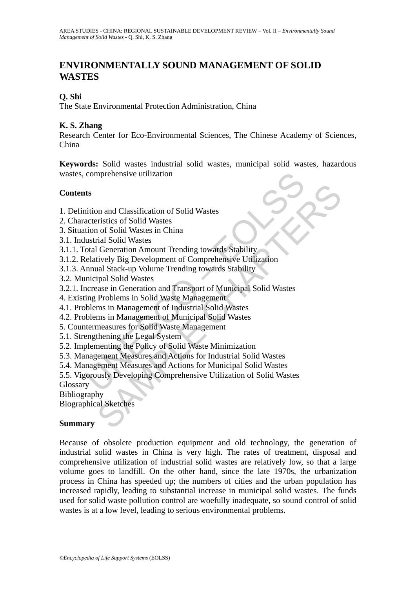# **ENVIRONMENTALLY SOUND MANAGEMENT OF SOLID WASTES**

## **Q. Shi**

The State Environmental Protection Administration, China

## **K. S. Zhang**

Research Center for Eco-Environmental Sciences, The Chinese Academy of Sciences, China

**Keywords:** Solid wastes industrial solid wastes, municipal solid wastes, hazardous wastes, comprehensive utilization

## **Contents**

- 1. Definition and Classification of Solid Wastes
- 2. Characteristics of Solid Wastes
- 3. Situation of Solid Wastes in China
- 3.1. Industrial Solid Wastes
- 3.1.1. Total Generation Amount Trending towards Stability
- 3.1.2. Relatively Big Development of Comprehensive Utilization
- 3.1.3. Annual Stack-up Volume Trending towards Stability
- 3.2. Municipal Solid Wastes
- comprehensive utilization<br>
ts<br>
ts<br>
ts<br>
ts<br>
comprehensive utilization of Solid Wastes<br>
acteristics of Solid Wastes<br>
acteristics of Solid Wastes<br>
tion of Solid Wastes<br>
total Generation Amount Trending towards Stability<br>
elat on and Classification of Solid Wastes<br>
ristics of Solid Wastes<br>
in of Solid Wastes<br>
in of Solid Wastes<br>
in Generation Amount Trending towards Stability<br>
itively Big Development of Comprehensive Utilization<br>
inal Stack-up V 3.2.1. Increase in Generation and Transport of Municipal Solid Wastes
- 4. Existing Problems in Solid Waste Management
- 4.1. Problems in Management of Industrial Solid Wastes
- 4.2. Problems in Management of Municipal Solid Wastes
- 5. Countermeasures for Solid Waste Management
- 5.1. Strengthening the Legal System
- 5.2. Implementing the Policy of Solid Waste Minimization
- 5.3. Management Measures and Actions for Industrial Solid Wastes
- 5.4. Management Measures and Actions for Municipal Solid Wastes
- 5.5. Vigorously Developing Comprehensive Utilization of Solid Wastes

Glossary

Bibliography

Biographical Sketches

### **Summary**

Because of obsolete production equipment and old technology, the generation of industrial solid wastes in China is very high. The rates of treatment, disposal and comprehensive utilization of industrial solid wastes are relatively low, so that a large volume goes to landfill. On the other hand, since the late 1970s, the urbanization process in China has speeded up; the numbers of cities and the urban population has increased rapidly, leading to substantial increase in municipal solid wastes. The funds used for solid waste pollution control are woefully inadequate, so sound control of solid wastes is at a low level, leading to serious environmental problems.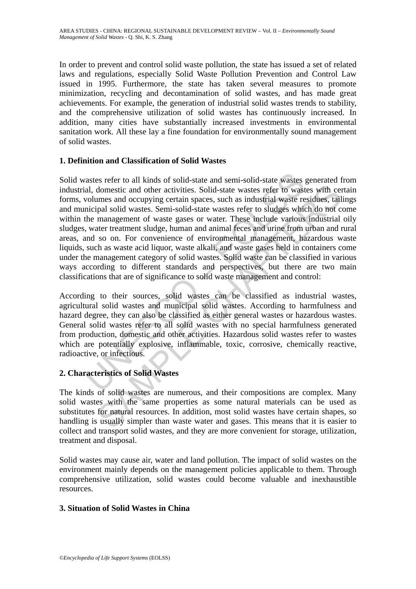In order to prevent and control solid waste pollution, the state has issued a set of related laws and regulations, especially Solid Waste Pollution Prevention and Control Law issued in 1995. Furthermore, the state has taken several measures to promote minimization, recycling and decontamination of solid wastes, and has made great achievements. For example, the generation of industrial solid wastes trends to stability, and the comprehensive utilization of solid wastes has continuously increased. In addition, many cities have substantially increased investments in environmental sanitation work. All these lay a fine foundation for environmentally sound management of solid wastes.

## **1. Definition and Classification of Solid Wastes**

astes refer to all kinds of solid-state and semi-solid-state wastes al, domestic and other activities. Solid-state wastes refer to wast<br>columes and occupying certain spaces, such as industrial waste re<br>incipal solid wastes domestic and other activities. Solid-state wastes refer to wastes with ceromes and occupying certain spaces, such as industrial waste residues, tail pial solid-state wastes refer to slugges which do not computed such and m Solid wastes refer to all kinds of solid-state and semi-solid-state wastes generated from industrial, domestic and other activities. Solid-state wastes refer to wastes with certain forms, volumes and occupying certain spaces, such as industrial waste residues, tailings and municipal solid wastes. Semi-solid-state wastes refer to sludges which do not come within the management of waste gases or water. These include various industrial oily sludges, water treatment sludge, human and animal feces and urine from urban and rural areas, and so on. For convenience of environmental management, hazardous waste liquids, such as waste acid liquor, waste alkali, and waste gases held in containers come under the management category of solid wastes. Solid waste can be classified in various ways according to different standards and perspectives, but there are two main classifications that are of significance to solid waste management and control:

According to their sources, solid wastes can be classified as industrial wastes, agricultural solid wastes and municipal solid wastes. According to harmfulness and hazard degree, they can also be classified as either general wastes or hazardous wastes. General solid wastes refer to all solid wastes with no special harmfulness generated from production, domestic and other activities. Hazardous solid wastes refer to wastes which are potentially explosive, inflammable, toxic, corrosive, chemically reactive, radioactive, or infectious.

## **2. Characteristics of Solid Wastes**

The kinds of solid wastes are numerous, and their compositions are complex. Many solid wastes with the same properties as some natural materials can be used as substitutes for natural resources. In addition, most solid wastes have certain shapes, so handling is usually simpler than waste water and gases. This means that it is easier to collect and transport solid wastes, and they are more convenient for storage, utilization, treatment and disposal.

Solid wastes may cause air, water and land pollution. The impact of solid wastes on the environment mainly depends on the management policies applicable to them. Through comprehensive utilization, solid wastes could become valuable and inexhaustible resources.

### **3. Situation of Solid Wastes in China**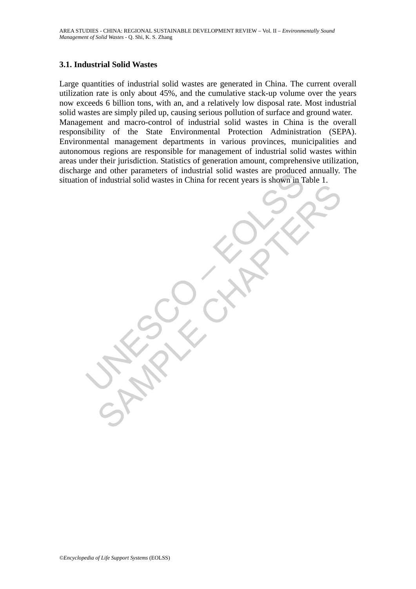### **3.1. Industrial Solid Wastes**

E and onle parameters or moussian sond wastes are producted<br>of industrial solid wastes in China for recent years is shown in T SAMPLE COCKAR Large quantities of industrial solid wastes are generated in China. The current overall utilization rate is only about 45%, and the cumulative stack-up volume over the years now exceeds 6 billion tons, with an, and a relatively low disposal rate. Most industrial solid wastes are simply piled up, causing serious pollution of surface and ground water. Management and macro-control of industrial solid wastes in China is the overall responsibility of the State Environmental Protection Administration (SEPA). Environmental management departments in various provinces, municipalities and autonomous regions are responsible for management of industrial solid wastes within areas under their jurisdiction. Statistics of generation amount, comprehensive utilization, discharge and other parameters of industrial solid wastes are produced annually. The situation of industrial solid wastes in China for recent years is shown in Table 1.

*©Encyclopedia of Life Support Systems* (EOLSS)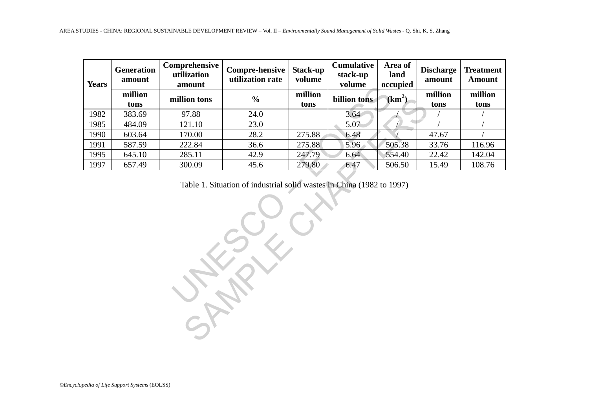| million<br>tons<br>383.69<br>484.09<br>603.64<br>587.59<br>645.10<br>657.49 | million tons<br>97.88<br>121.10<br>170.00<br>222.84<br>285.11<br>300.09 | $\frac{0}{0}$<br>24.0<br>23.0<br>28.2<br>36.6<br>42.9<br>45.6 | million<br>tons<br>275.88<br>275.88<br>247.79 | billion tons<br>3.64<br>5.07<br>6.48<br>5.96 | (km <sup>2</sup> )<br>505.38 | million<br>tons<br>47.67 | million<br>tons |
|-----------------------------------------------------------------------------|-------------------------------------------------------------------------|---------------------------------------------------------------|-----------------------------------------------|----------------------------------------------|------------------------------|--------------------------|-----------------|
|                                                                             |                                                                         |                                                               |                                               |                                              |                              |                          |                 |
|                                                                             |                                                                         |                                                               |                                               |                                              |                              |                          |                 |
|                                                                             |                                                                         |                                                               |                                               |                                              |                              |                          |                 |
|                                                                             |                                                                         |                                                               |                                               |                                              |                              |                          |                 |
|                                                                             |                                                                         |                                                               |                                               |                                              |                              | 33.76                    | 116.96          |
|                                                                             |                                                                         |                                                               |                                               | 6.64                                         | 554.40                       | 22.42                    | 142.04          |
|                                                                             |                                                                         |                                                               | 279.80                                        | 6.47                                         | 506.50                       | 15.49                    | 108.76          |
|                                                                             |                                                                         |                                                               |                                               |                                              |                              |                          |                 |
|                                                                             |                                                                         |                                                               |                                               |                                              |                              |                          |                 |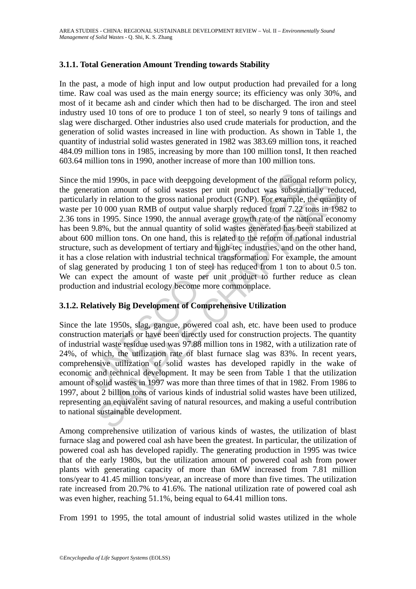## **3.1.1. Total Generation Amount Trending towards Stability**

In the past, a mode of high input and low output production had prevailed for a long time. Raw coal was used as the main energy source; its efficiency was only 30%, and most of it became ash and cinder which then had to be discharged. The iron and steel industry used 10 tons of ore to produce 1 ton of steel, so nearly 9 tons of tailings and slag were discharged. Other industries also used crude materials for production, and the generation of solid wastes increased in line with production. As shown in Table 1, the quantity of industrial solid wastes generated in 1982 was 383.69 million tons, it reached 484.09 million tons in 1985, increasing by more than 100 million tonsI, It then reached 603.64 million tons in 1990, another increase of more than 100 million tons.

in pace with deepgoing development of the national<br>eration amount of solid wastes per unit product was substantly in relation to the gross national product (GNP). For example,<br>er 10 000 yuan RMB of output value sharply red tion amount of solid wastes per unit product was substantially reduced in melation to the gross national product (GNP). For example, the quantities of in 1985. Since 1990, the amand average growth rate of the national con Since the mid 1990s, in pace with deepgoing development of the national reform policy, the generation amount of solid wastes per unit product was substantially reduced, particularly in relation to the gross national product (GNP). For example, the quantity of waste per 10 000 yuan RMB of output value sharply reduced from 7.22 tons in 1982 to 2.36 tons in 1995. Since 1990, the annual average growth rate of the national economy has been 9.8%, but the annual quantity of solid wastes generated has been stabilized at about 600 million tons. On one hand, this is related to the reform of national industrial structure, such as development of tertiary and high-tec industries, and on the other hand, it has a close relation with industrial technical transformation. For example, the amount of slag generated by producing 1 ton of steel has reduced from 1 ton to about 0.5 ton. We can expect the amount of waste per unit product to further reduce as clean production and industrial ecology become more commonplace.

## **3.1.2. Relatively Big Development of Comprehensive Utilization**

Since the late 1950s, slag, gangue, powered coal ash, etc. have been used to produce construction materials or have been directly used for construction projects. The quantity of industrial waste residue used was 97.88 million tons in 1982, with a utilization rate of 24%, of which, the utilization rate of blast furnace slag was 83%. In recent years, comprehensive utilization of solid wastes has developed rapidly in the wake of economic and technical development. It may be seen from Table 1 that the utilization amount of solid wastes in 1997 was more than three times of that in 1982. From 1986 to 1997, about 2 billion tons of various kinds of industrial solid wastes have been utilized, representing an equivalent saving of natural resources, and making a useful contribution to national sustainable development.

Among comprehensive utilization of various kinds of wastes, the utilization of blast furnace slag and powered coal ash have been the greatest. In particular, the utilization of powered coal ash has developed rapidly. The generating production in 1995 was twice that of the early 1980s, but the utilization amount of powered coal ash from power plants with generating capacity of more than 6MW increased from 7.81 million tons/year to 41.45 million tons/year, an increase of more than five times. The utilization rate increased from 20.7% to 41.6%. The national utilization rate of powered coal ash was even higher, reaching 51.1%, being equal to 64.41 million tons.

From 1991 to 1995, the total amount of industrial solid wastes utilized in the whole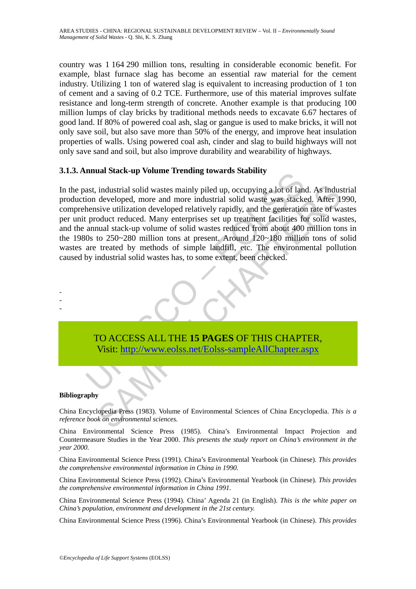country was 1 164 290 million tons, resulting in considerable economic benefit. For example, blast furnace slag has become an essential raw material for the cement industry. Utilizing 1 ton of watered slag is equivalent to increasing production of 1 ton of cement and a saving of 0.2 TCE. Furthermore, use of this material improves sulfate resistance and long-term strength of concrete. Another example is that producing 100 million lumps of clay bricks by traditional methods needs to excavate 6.67 hectares of good land. If 80% of powered coal ash, slag or gangue is used to make bricks, it will not only save soil, but also save more than 50% of the energy, and improve heat insulation properties of walls. Using powered coal ash, cinder and slag to build highways will not only save sand and soil, but also improve durability and wearability of highways.

## **3.1.3. Annual Stack-up Volume Trending towards Stability**

muan stack-up volume Trenung towards stabing<br>ast, industrial solid wastes mainly piled up, occupying a lot of land<br>ion developed, more and more industrial solid waste was stacke<br>hensive utilization developed relatively rap industrial solid wastes mainly piled up, occupying a lot of land. As indus<br>developed, more and more industrial solid waste was stacked. After 1<br>sive utilization developed relatively rapidly, and the generation rate of wa<br>o In the past, industrial solid wastes mainly piled up, occupying a lot of land. As industrial production developed, more and more industrial solid waste was stacked. After 1990, comprehensive utilization developed relatively rapidly, and the generation rate of wastes per unit product reduced. Many enterprises set up treatment facilities for solid wastes, and the annual stack-up volume of solid wastes reduced from about 400 million tons in the 1980s to 250~280 million tons at present. Around 120~180 million tons of solid wastes are treated by methods of simple landfill, etc. The environmental pollution caused by industrial solid wastes has, to some extent, been checked.



#### **Bibliography**

- - -

China Encyclopedia Press (1983). Volume of Environmental Sciences of China Encyclopedia. *This is a reference book on environmental sciences.*

China Environmental Science Press (1985). China's Environmental Impact Projection and Countermeasure Studies in the Year 2000. *This presents the study report on China's environment in the year 2000.* 

China Environmental Science Press (1991). China's Environmental Yearbook (in Chinese). *This provides the comprehensive environmental information in China in 1990.* 

China Environmental Science Press (1992). China's Environmental Yearbook (in Chinese). *This provides the comprehensive environmental information in China 1991.*

China Environmental Science Press (1994). China' Agenda 21 (in English). *This is the white paper on China's population, environment and development in the 21st century.* 

China Environmental Science Press (1996). China's Environmental Yearbook (in Chinese). *This provides*